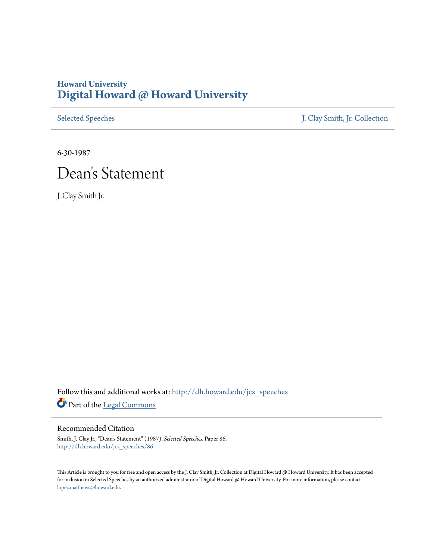## **Howard University [Digital Howard @ Howard University](http://dh.howard.edu?utm_source=dh.howard.edu%2Fjcs_speeches%2F86&utm_medium=PDF&utm_campaign=PDFCoverPages)**

[Selected Speeches](http://dh.howard.edu/jcs_speeches?utm_source=dh.howard.edu%2Fjcs_speeches%2F86&utm_medium=PDF&utm_campaign=PDFCoverPages) [J. Clay Smith, Jr. Collection](http://dh.howard.edu/jcsmith?utm_source=dh.howard.edu%2Fjcs_speeches%2F86&utm_medium=PDF&utm_campaign=PDFCoverPages)

6-30-1987

## Dean 's Statement

J. Clay Smith Jr.

Follow this and additional works at: [http://dh.howard.edu/jcs\\_speeches](http://dh.howard.edu/jcs_speeches?utm_source=dh.howard.edu%2Fjcs_speeches%2F86&utm_medium=PDF&utm_campaign=PDFCoverPages) Part of the [Legal Commons](http://network.bepress.com/hgg/discipline/502?utm_source=dh.howard.edu%2Fjcs_speeches%2F86&utm_medium=PDF&utm_campaign=PDFCoverPages)

## Recommended Citation

Smith, J. Clay Jr., "Dean's Statement" (1987). *Selected Speeches.* Paper 86. [http://dh.howard.edu/jcs\\_speeches/86](http://dh.howard.edu/jcs_speeches/86?utm_source=dh.howard.edu%2Fjcs_speeches%2F86&utm_medium=PDF&utm_campaign=PDFCoverPages)

This Article is brought to you for free and open access by the J. Clay Smith, Jr. Collection at Digital Howard @ Howard University. It has been accepted for inclusion in Selected Speeches by an authorized administrator of Digital Howard @ Howard University. For more information, please contact [lopez.matthews@howard.edu.](mailto:lopez.matthews@howard.edu)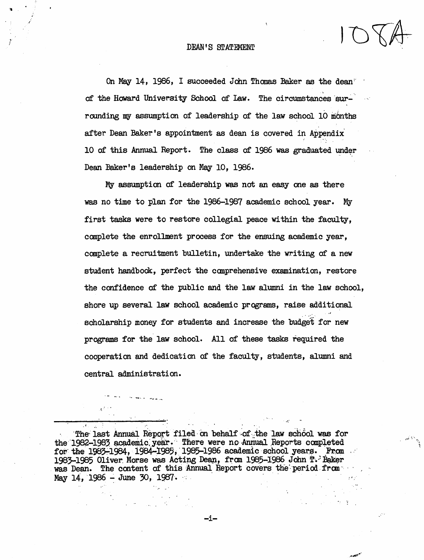On May 14, 1986, I succeeded John Thomas Baker as the dean<sup>®</sup> of the Howard University School of Law. The circumstances surrounding my assumption of leadership of the law school 10 months after Dean Baker's appointment as dean is covered in Appendix'  $\epsilon$  . The  $\omega$ 10 of this Annual Report. The class of 1986 was graduated under Dean Baker's leadership on May 10, 1986.

My assumption of leadership was not an easy one as there was no time to plan for the 1986-1987 academic school year. My first tasks were to restore collegial peace within the faculty, complete the enrollment process for the ensuing academic year, complete a recruitment bulletin, undertake the writing of a new student handbook, perfect the comprehensive examination, restore the confidence of the public and the law alumni *in* the law school, shore up several law school academic programs, raise additional scholarship money for students and increase the budget for new programs for the law school. All of these tasks required the cooperation and dedication of the faculty, students, alumni and central administration.

The last Annual Report filed on behalf of the law school was for the 1982-1983 academic year. There were no Annual Reports completed for the 1983-1984, 1984-1985, 1985-1986 academic school years. From 1983-1985 Oliver Morse was Acting Dean, from 1985-1986 John T. Baker was Dean. The content of this Annual Report covers the period from May 14, 1986 - June 30, 1987.

 $\ddot{\,}$ 

-i-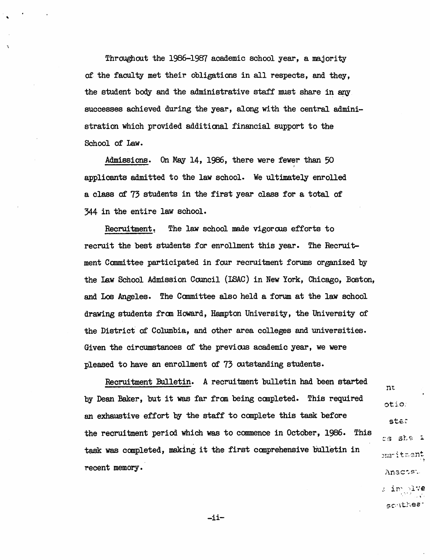Throughout the 1986-1987 academic school year, a majority of the faculty met their obligations in all respects, and they, the student body and the administrative staff must share in any successes achieved during the year, along with the central administration which provided additional financial support to the School of law.

Admissions. On May 14, 1986, there were fewer than 50 applicants admitted to the law school. We ultimately enrolled a class of 73 students in the first year class for a total of 344 in the entire law school.

Recruitment. The law school made vigorous efforts to recruit the best students for enrollment this year. The Recruitment Canmi ttee participated *in* four recrui tment forums organized by the Law School Admission Council (LSAC) in New York, Chicago, Boston, and Los Angeles. The Canmittee also held a forum at the law school drawing students from Howard, Hampton University, the University of the District of Columbia, and other area colleges and universities. Given the circumstances of the previous academic year, we were pleased to have an enrollment of 73 outstanding students.

Recruitment Eulletin. A recruitment bulletin had been started by Dean Baker, but it was far fran being canpleted. This required an exhaustive effort by the staff to canplete this task before the recruitment period which was to commence *in* October, 1986. This task was completed, making it the first comprehensive bulletin in recent memory.

oti,o: ster cs she i  $\sum_{i=1}^n$  it  $\min$ Anacts:  $: \mathsf{inv}_\mathbb{C}$ lve

nt

scathes

$$
-i\dot{1}-
$$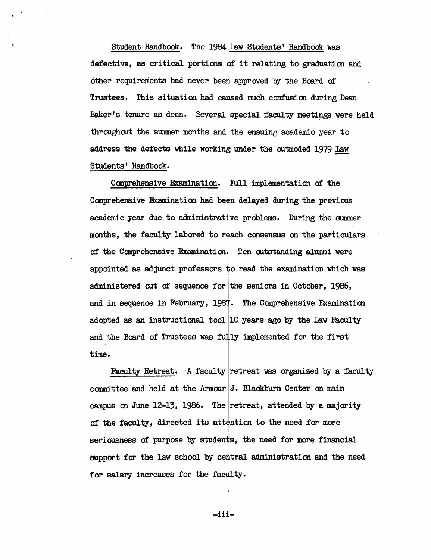Student Handbook. The 1984 law students' Handbook was defective, as critical portions of it relating to graduation and other requirements had never been approved by the Board of Trustees. This situation had caused much confusion during Dean Baker's tenure as dean. Several special faculty meetings were held throughout the summer months and the ensuing academic year to address the defects while working under the outmoded 1979 Law Students' Handbook.

Canprehensive Examination. Full implementation of the Comprehensive Examination had been delayed during the previous academic year due to administrative problems. During the summer months, the faculty labored to reach consensus on the particulars of the Canprehensive Examination. Ten outstanding alumni were appointed as adjunct professors to read the examination which was administered out of sequence for the seniors in October,  $1986$ , and in sequence in February, 1987. The Comprehensive Examination adopted as an instructional tool  $|10$  years ago by the Law Faculty and the Board of Trustees was fully implemented for the first time.

Faculty Retreat. A faculty retreat was organized by a faculty committee and held at the Armour  $J$ . Blackburn Center on main campus on June 12-13, 1986. The retreat, attended by a majority of the faculty, directed its attention to the need for more seriousness of purpose by students, the need for more financial support for the law school by central administration and the need for salary increases for the faculty.

-iii-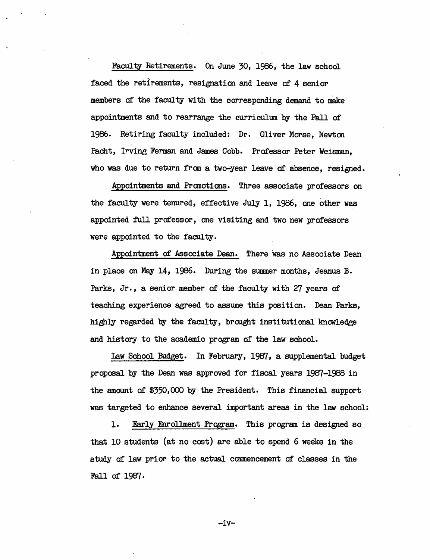Faculty Retirements. On June 30, 1986, the law school faced the retirements, resignation and leave of 4 senior members of the faculty with the corresponding demand to make appointments and to rearrange the curriculum by the Fall of 1986. Retiring faculty included: Dr. Oliver Morse, Newton Pacht, Irving Ferman and James Cobb. Professor Peter Weisman, who was due to return from a two-year leave of absence, resigned.

Appointments and Promotions. Three associate professors on the faculty were tenured, effective July 1, 1986, one other was appointed full professor, one visiting and two new professors were appointed to the faculty.

Appointment of Associate Dean. There was no Associate Dean in place on May 14, 1986. During the summer months, Jeanus B. Parks, Jr., a senior member of the faculty with 27 years of teaching experience agreed to assume this position. Dean Parks, highly regarded by the faculty, brought institutional knowledge and history to the academic program of the law school.

law School Budget. In February, 1987, a supplemental budget propooal by the Dean was approved for fiscal years 1987-1988 in the amount of \$350,000 by the President. This financial support was targeted to enhance several important areas in the law school:

1. Early Enrollment Program. This program is designed so that 10 students (at no coot) are able to spend 6 weeks in the study of law prior to the actual canmencement of classes in the Fall of 1987.

-iv-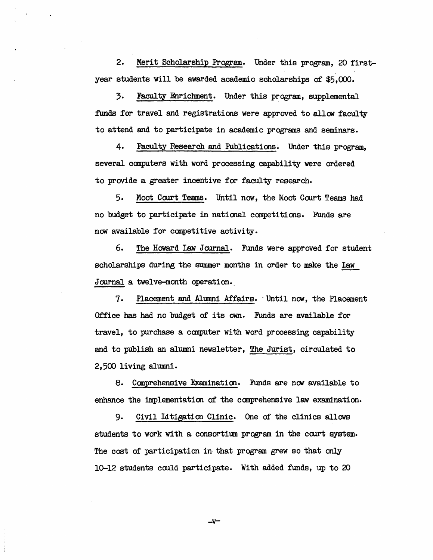2. Merit Scholarship Program. Under this program, 20 firstyear students will be awarded academic scholarships of \$5,000.

3. Faculty Enrichment. Under this program, supplemental funds for travel and registrations were approved to allow faculty to attend and to participate in academic programs and seminars.

4. Faculty Research and Publications. Under this program. several computers with word processing capability were ordered to provide a greater incentive for faculty research.

5. Moot Court Teams. Until now, the Moot Court Teams had no budget to participate in national competitions. Funds are now available for competitive activity.

6. The Howard Law Journal. Funds were approved for student scholarships during the summer months in order to make the law Journal a twelve-month operation.\_

7. Placement and Alumni Affairs. Until now, the Placement Office has had no budget of its own. Funds are available for travel, to purchase a computer with word processing capability and to publish an alumni newsletter, The Jurist, circulated to 2,500 living alumni.

8. Comprehensive Examination. Funds are now available to enhance the implementation of the canprehensive law examination.

9. Civil Litigation Clinic. One of the clinics allows students to work with a consortium program in the court system. The cost of participation in that program grew so that only 10-12 students could participate. With added funds, up to 20

 $-v$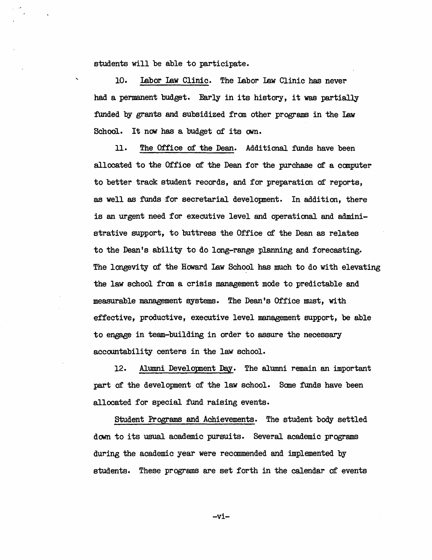students will be able to participate.

 $\ddot{\phantom{0}}$ 

10. labor law Clinic. The labor law Clinic has never had a permanent budget. Early in its history, it was partially funded by grants and subsidized from other programs in the law School. It now has a budget of its own.

11. The Office of the Dean. Additional funds have been allocated to the Office of the Dean for the purchase of a canputer to better track student records, and for preparation of reports, as well as funds for secretarial development. In addition, there is an urgent need for executive level and operational and administrative support, to buttress the Office of the Dean as relates to the Dean's ability to do long-range planning and forecasting. The longevity of the Howard Law School has much to do with elevating the law school fran a crisis management mode to predictable and measurable management systems. The Dean's Office must, with effective, productive, executive level management support, be able to engage in team-building in order to assure the necessary accountability centers in the law school.

12. Alumni Development Day. The alumni remain an important part of the development of the law school. Sane funds have been allocated for special fund raising events.

student Programs and Achievements. The student body settled down to its usual academic pursuits. Several academic programs during the academic year were recommended and implemented by students. These programs are set forth in the calendar of events

-vi-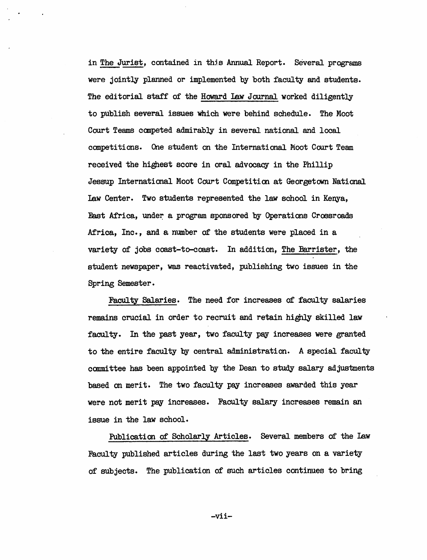in The Jurist, contained in this Annual Report. Several programs were jointly planned or implemented by both faculty and students. The editorial staff of the Howard law Journal worked diligently to publish several issues which were behind schedule. The Moot Court Teams canpeted admirably in several national and local competitions. One student on the International Moot Court Team received the highest score in oral advocacy in the Phillip Jessup International Moot Court Competition at Georgetown National law Center. Two students represented the law school in Kenya, East Africa, under a program sponsored by Operations Crossroads Africa, Inc., and a number of the students were placed in a variety of jobs coast-to-coast. In addition, The Barrister, the student newspaper, was reactivated, publishing two issues in the Spring Semester.

Faculty Salaries. The need for increases of faculty salaries remains crucial in order to recruit and retain highly skilled law faculty. In the past year, two faculty pay increases were granted to the entire faculty by central administration. A special faculty committee has been appointed by the Dean to study salary adjustments based on merit. The two faculty pay increases awarded this year were not merit pay increases. Faculty salary increases remain an issue in the law school.

Publication of Scholarly Articles. Several members of the Law Faculty published articles during the last two years on a variety of subjects. The publication of such articles continues to bring

-vi i-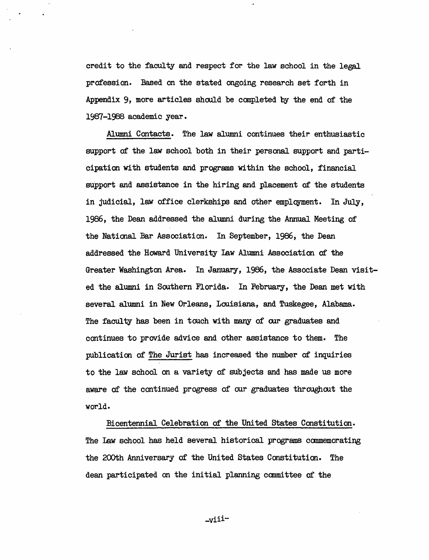credit to the faculty and respect for the law school in the legal profession. Based on the stated ongoing research set forth in Appendix 9, more articles should be canpleted by the end of the 1987-1988 academic year.

Alumni Contacts. The law alumni continues their enthusiastic support of the law school both in their personal support and participation with students and programs wi thin the school, financial support and assistance in the hiring and placement of the students in judicial, law office clerkships and other employment. In July, 1986, the Dean addressed the alumni during the Annual Meeting of the National Bar Association. In September, 1986, the Dean addressed the Howard University Law Alumni Association of the Greater Washington Area. In January, 1986, the Associate Dean visited the alumni in Southern Florida. In February, the Dean met with several alumni in New Orleans, Louisiana, and Tuskegee, Alabama. The faculty has been in touch with many of our graduates and continues to provide advice and other assistance to them. The publication of The Jurist has increased the number of inquiries to the law school on a variety of subjects and has made us more aware of the continued progress of our graduates throughout the world.

Bicentennial Celebration of the United states Constitution. The Law sChool has held several historical programs commemorating the 200th Anniversary of the United States Constitution. The dean participated on the initial planning committee of the

\_viii-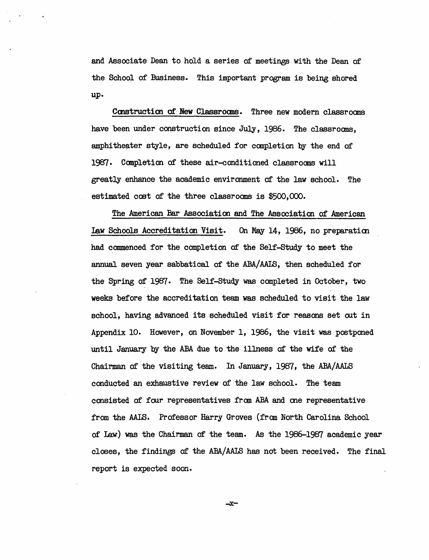and Associate Dean to hold a series of meetings with the Dean of the School of Business. This important program is being shored up.

Construction of New Classrooms. Three new modern classrooms have been under construction since July, 1986. The classrooms, amphitheater style, are scheduled for canpletion by the end of 199]. Canpletion of these air-conditioned classroans will greatly enhance the academic environment of the law school. The estimated cost of the three classrooms is \$500,000.

The American Bar Association and The Association of American Law Schools Accreditation Visit. On May 14, 1986, no preparation had commenced for the completion of the Self-Study to meet the annual seven year sabbatical of the ABA/AAIS, then scheduled for the Spring of 1987. The Self-Study was canpleted in October, two weeks before the accreditation team was scheduled to visit the law school, having advanced its scheduled visit for reasons set out in Appendix 10. However, on November 1, 1986, the visit was postponed until January by the ABA due to the illness of the wife of the Chairman of the visiting team. In January, 1987, the ABA/AALS conducted an exhaustive review of the law school. The team consisted of four representatives fram ABA and ane representative from the AALS. Professor Harry Groves (from North Carolina School of law) was the Chairman of the team. As the 1986-1987 academic year closes, the findings of the ABA/ AAIS has not been received. The final report is expected soon.

-x-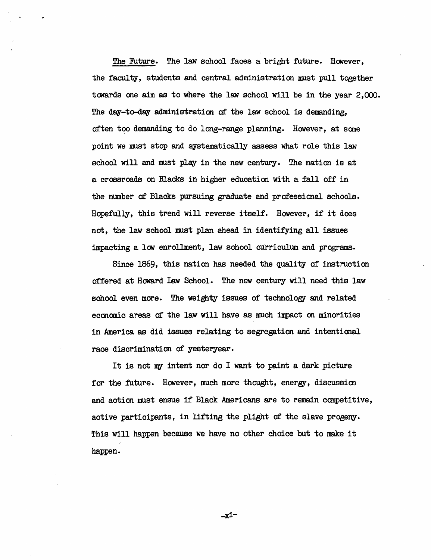The Future. The law school faces a bright future. However, the faculty, students and central administration must pull together towards one aim as to where the law school will be in the year 2,000. The day-to-day administration of the law school is demanding, often too demanding to do long-range planning. However, at some point we must stop and systematically assess what role this law school will and must play in the new century. The nation is at a crossroads on Blacks in higher education with a fall off in the number of Blacks pursuing graduate and professional schools. Hopefully, this trend will reverse itself. However, if it does not, the law school must plan ahead in identifying all issues impacting a low enrollment, law school curriculum and programs.

Since 1869, this nation has needed the quality of instruction offered at Howard law School. The new century will need this law school even more. The weighty issues of technology and related eccnanic areas of the law will have as much impact on minorities in America as did issues relating to segregation and intentional race discrimination of yesteryear.

It is not my intent nor do I want to paint a dark picture for the future. However, much more thought, energy, discussion and action must ensue if Black: Americans are to remain competitive, active participants, in lifting the plight of the slave progeny. This will happen because we have no other choice but to make it happen.

...;x:i-